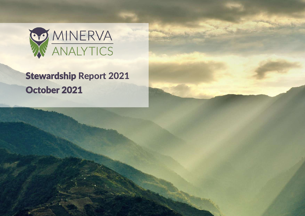

# Stewardship Report 2021 October 2021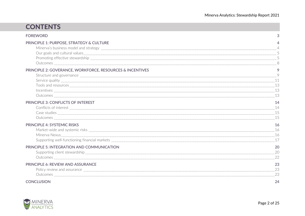| <b>CONTENTS</b>                                           |                            |
|-----------------------------------------------------------|----------------------------|
| <b>FOREWORD</b>                                           | 3                          |
| PRINCIPLE 1: PURPOSE, STRATEGY & CULTURE                  |                            |
| PRINCIPLE 2: GOVERANCE, WORKFORCE, RESOURCES & INCENTIVES | - 8<br>9                   |
|                                                           | 9<br>11                    |
| PRINCIPLE 3: CONFLICTS OF INTEREST                        | 13<br>14<br>14<br>15<br>15 |
| <b>PRINCIPLE 4: SYSTEMIC RISKS</b>                        | 16<br>16<br>17             |
| PRINCIPLE 5: INTEGRATION AND COMMUNICATION                | 20<br>20<br>22             |
| PRINCIPLE 6: REVIEW AND ASSURANCE                         | 23<br>23<br>23             |
| <b>CONCLUSION</b>                                         | 24                         |

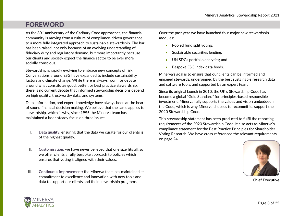# <span id="page-2-0"></span>FOREWORD

As the 30<sup>th</sup> anniversary of the Cadbury Code approaches, the financial community is moving from a culture of compliance-driven governance to a more fully integrated approach to sustainable stewardship. The bar has been raised, not only because of an evolving understanding of fiduciary duty and regulatory demand, but more importantly because our clients and society expect the finance sector to be ever more socially conscious.

Stewardship is rapidly evolving to embrace new concepts of risk. Conversations around ESG have expanded to include sustainability factors and climate change. While there is always room for debate around what constitutes good, better, or best practice stewardship, there is no current debate that informed stewardship decisions depend on high quality, trustworthy data, and systems.

Data, information, and expert knowledge have always been at the heart of sound financial decision making. We believe that the same applies to stewardship, which is why, since 1995 the Minerva team has maintained a laser-steady focus on three issues:

- I. **Data quality:** ensuring that the data we curate for our clients is of the highest quality.
- II. **Customisation:** we have never believed that one size fits all, so we offer clients a fully bespoke approach to policies which ensures that voting is aligned with their values.
- III. **Continuous improvement:** the Minerva team has maintained its commitment to excellence and innovation with new tools and data to support our clients and their stewardship programs.

Over the past year we have launched four major new stewardship modules:

- Pooled fund split voting;
- Sustainable securities lending:
- UN SDGs portfolio analytics; and
- Bespoke ESG index data feeds.

Minerva's goal is to ensure that our clients can be informed and engaged stewards, underpinned by the best sustainable research data and software tools, and supported by an expert team.

Since its original launch in 2010, the UK's Stewardship Code has become a global "Gold Standard" for principles-based responsible investment. Minerva fully supports the values and vision embedded in the Code, which is why Minerva chooses to recommit its support the 2020 Stewardship Code.

This stewardship statement has been produced to fulfil the reporting requirements of the 2020 Stewardship Code. It also acts as Minerva's compliance statement for the Best Practice Principles for Shareholder Voting Research. We have cross-referenced the relevant requirements on page 24.



**Chief Executive**

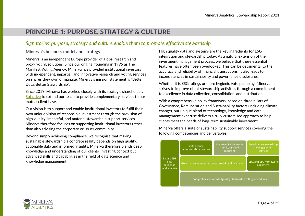# <span id="page-3-0"></span>PRINCIPLE 1: PURPOSE, STRATEGY & CULTURE

### *Signatories' purpose, strategy and culture enable them to promote effective stewardship*

#### <span id="page-3-1"></span>**Minerva's business model and strategy**

Minerva is an independent Europe provider of global research and proxy voting solutions. Since our original founding in 1995 as The Manifest Voting Agency, Minerva has provided institutional investors with independent, impartial, and innovative research and voting services on shares they own or manage. Minerva's mission statement is "Better Data: Better Stewardship".

Since 2019, Minerva has worked closely with its strategic shareholder, [Solactive](http://www.solactive.com/) to extend our reach to provide complementary services to our mutual client base.

Our vision is to support and enable institutional investors to fulfil their own unique vision of responsible investment through the provision of high-quality, impactful, and material stewardship support services. Minerva therefore focuses on supporting institutional investors rather than also advising the corporate or issuer community.

Beyond simply achieving compliance, we recognise that making sustainable stewardship a concrete reality depends on high quality, actionable data and informed insights. Minerva therefore blends deep knowledge and understanding of our clients' investing context but advanced skills and capabilities in the field of data science and knowledge management.

High quality data and systems are the key ingredients for ESG integration and stewardship today. As a natural extension of the investment management process, we believe that these essential features have often been overlooked. This can be detrimental to the accuracy and reliability of financial transactions. It also leads to inconsistencies in sustainability and governance disclosures.

Whether it is ESG ratings or more hygienic vote plumbing, Minerva strives to improve client stewardship activities through a commitment to excellence in data collection, consolidation, and distribution.

With a comprehensive policy framework based on three pillars of Governance, Remuneration and Sustainability factors (including climate change), our unique blend of technology, knowledge and data management expertise delivers a truly customised approach to help clients meet the needs of long-term sustainable investment.

Minerva offers a suite of sustainability support services covering the following competencies and deliverables:



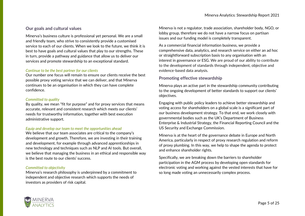#### <span id="page-4-0"></span>**Our goals and cultural values**

Minerva's business culture is professional yet personal. We are a small and friendly team, who strive to consistently provide a customised service to each of our clients. When we look to the future, we think it is best to have goals and cultural values that play to our strengths. These in turn, provide a pathway and guidance that allow us to deliver our services and promote stewardship to an exceptional standard.

#### *Continue to be the best partner for our clients*

Our number one focus will remain to ensure our clients receive the best possible proxy voting service that we can deliver, and that Minerva continues to be an organisation in which they can have complete confidence.

#### *Committed to quality*

By quality, we mean "fit for purpose" and for proxy services that means accurate, relevant and consistent research which meets our clients' needs for trustworthy information, together with best execution administrative support.

#### *Equip and develop our team to meet the opportunities ahead*

We believe that our team associates are critical to the company's development and growth. Therefore, we are investing in their training and development, for example through advanced apprenticeships in new technology and techniques such as NLP and AI tools. But overall, we believe that managing the business in an ethical and responsible way is the best route to our clients' success.

#### *Committed to objectivity*

Minerva's research philosophy is underpinned by a commitment to independent and objective research which supports the needs of investors as providers of risk capital.

Minerva is not a regulator, trade association, shareholder body, NGO, or lobby group, therefore we do not have a narrow focus on partisan issues and our funding model is completely transparent.

As a commercial financial information business, we provide a comprehensive data, analytics, and research service on either an ad hoc or straightforward subscription basis to any organisation with an interest in governance or ESG. We are proud of our ability to contribute to the development of standards through independent, objective and evidence-based data analysis.

### <span id="page-4-1"></span>**Promoting effective stewardship**

Minerva plays an active part in the stewardship community contributing to the ongoing development of better standards to support our clients' objectives.

Engaging with public policy leaders to achieve better stewardship and voting access for shareholders on a global scale is a significant part of our business development strategy. To that end, we work closely with governmental bodies such as the UK's Department of Business Enterprise & Industrial Strategy, the Financial Reporting Council and the US Security and Exchange Commission.

Minerva is at the heart of the governance debate in Europe and North America, particularly in respect of proxy research regulation and reform of proxy plumbing. In this way, we help to shape the agenda to protect and enhance shareholder rights.

Specifically, we are breaking down the barriers to shareholder participation in the AGM process by developing open standards for electronic voting and working against the vested interests that have for so long made voting an unnecessarily complex process.

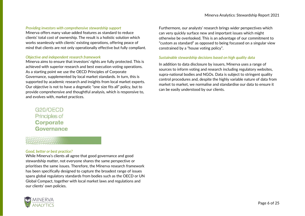#### *Providing investors with comprehensive stewardship support*

Minerva offers many value-added features as standard to reduce clients' total cost of ownership. The result is a holistic solution which works seamlessly with clients' existing operations, offering peace of mind that clients are not only operationally effective but fully compliant.

#### *Objective and independent research framework*

Minerva aims to ensure that investors' rights are fully protected. This is achieved with superior research and best execution voting operations. As a starting point we use the OECD Principles of Corporate Governance, supplemented by local market standards. In turn, this is supported by academic research and insights from local market experts. Our objective is not to have a dogmatic "one size fits all" policy, but to provide comprehensive and thoughtful analysis, which is responsive to, and evolves with, market practices.

G20/OECD Principles of Corporate Governance

#### *Good, better or best practice?*

While Minerva's clients all agree that good governance and good stewardship matter, not everyone shares the same perspective or prioritises the same issues. Therefore, the Minerva research framework has been specifically designed to capture the broadest range of issues spans global regulatory standards from bodies such as the OECD or UN Global Compact, together with local market laws and regulations and our clients' own policies.



Furthermore, our analysts' research brings wider perspectives which can very quickly surface new and important issues which might otherwise be overlooked. This is an advantage of our commitment to "custom as standard" as opposed to being focussed on a singular view constrained by a "house voting policy".

#### *Sustainable stewardship decisions based on high quality data*

In addition to data disclosure by issuers, Minerva uses a range of sources to inform voting and research including regulatory websites, supra-national bodies and NGOs. Data is subject to stringent quality control procedures and, despite the highly variable nature of data from market to market, we normalise and standardise our data to ensure it can be easily understood by our clients.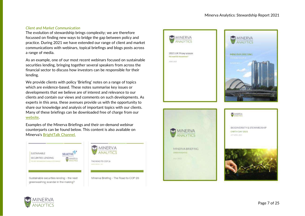#### *Client and Market Communication*

The evolution of stewardship brings complexity; we are therefore focussed on finding new ways to bridge the gap between policy and practice. During 2021 we have extended our range of client and market communications with webinars, topical briefings and blogs posts across a range of media.

As an example, one of our most recent webinars focused on sustainable securities lending, bringing together several speakers from across the financial sector to discuss how investors can be responsible for their lending.

We provide clients with policy 'Briefing' notes on a range of topics which are evidence-based. These notes summarise key issues or developments that we believe are of interest and relevance to our clients and contain our views and comments on such developments. As experts in this area, these avenues provide us with the opportunity to share our knowledge and analysis of important topics with our clients. Many of these briefings can be downloaded free of charge from our [website.](https://www.manifest.co.uk/shop/)

Examples of the Minerva Briefings and their on-demand webinar counterparts can be found below. This content is also available on Minerva's [BrightTalk Channel.](https://www.brighttalk.com/channel/18792/?utm_source=brighttalk-sharing&utm_medium=web&utm_campaign=linkshare)







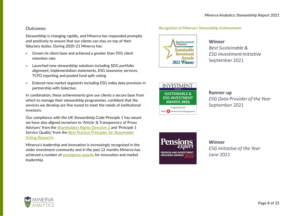#### <span id="page-7-0"></span>**Outcomes**

Stewardship is changing rapidly, and Minerva has responded promptly and positively to ensure that our clients can stay on top of their fiduciary duties. During 2020-21 Minerva has:

- Grown its client base and achieved a greater than 95% client retention rate.
- Launched new stewardship solutions including SDG portfolio alignment, implementation statements, ESG taxonomy services, TCFD reporting and pooled fund split voting
- Entered new market segments including ESG index data provision in partnership with Solactive.

In combination, these achievements give our clients a secure base from which to manage their stewardship programmes, confident that the services we develop are fine-tuned to meet the needs of institutional investors.

Our compliance with the UK Stewardship Code Principle 1 has meant we have also aligned ourselves to 'Article 3j Transparency of Proxy Advisors' from the [Shareholders Rights Directive](https://eur-lex.europa.eu/legal-content/EN/TXT/PDF/?uri=CELEX:32017L0828&from=EN) 2 and 'Principle 1 Service Quality' from the [Best Practice Principles for Shareholder](https://bppgrp.info/wp-content/uploads/2019/07/2019-Best-Practice-Principles-for-Shareholder-Voting-Research-Analysis.pdf)  [Voting Research.](https://bppgrp.info/wp-content/uploads/2019/07/2019-Best-Practice-Principles-for-Shareholder-Voting-Research-Analysis.pdf) 

Minerva's leadership and innovation is increasingly recognised in the wider investment community and in the past 12 months Minerva has achieved a number of [prestigious awards](https://www.manifest.co.uk/awards/) for innovation and market leadership.

### Environmental<br>Finance **Sustainable Investment Awards** 2021 Winner

### **Winner**

*Recognition of Minerva's Stewardship Achievements*

**Best Sustainable & FSG Investment Initiative** September 2021



# **Runner-up ESG Data Provider of the Year** September 2021



#### **Winner**

**ESG Initiative of the Year June 2021** 

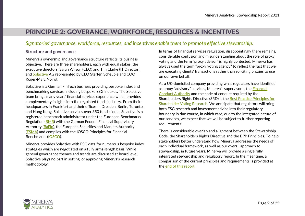# <span id="page-8-0"></span>PRINCIPLE 2: GOVERANCE, WORKFORCE, RESOURCES & INCENTIVES

## *Signatories' governance, workforce, resources, and incentives enable them to promote effective stewardship.*

#### <span id="page-8-1"></span>**Structure and governance**

Minerva's ownership and governance structure reflects its business objective. There are three shareholders, each with equal stakes: the executive directors, Sarah Wilson (CEO) and Tim Clarke (IT Director), and [Solactive](http://www.solactive.com/) AG represented by CEO Steffen Scheuble and COO Roger-Marc Noirot.

Solactive is a German FinTech business providing bespoke index and benchmarking services, including bespoke ESG indexes. The Solactive team brings many years' financial services experience which provides complementary insights into the regulated funds industry. From their headquarters in Frankfurt and their offices in Dresden, Berlin, Toronto, and Hong Kong, Solactive services over 350 fund clients. Solactive is a registered benchmark administrator under the European Benchmarks Regulation [\(BMR\)](https://eur-lex.europa.eu/legal-content/EN/TXT/?uri=CELEX:32016R1011) with the German Federal Financial Supervisory Authority [\(BaFin\)](https://www.solactive.com/documents/), the European Securities and Markets Authority [\(ESMA\)](https://www.esma.europa.eu/policy-rules/benchmarks) and complies with the IOSCO Principles for Financial Benchmarks [\(IOSCO\)](https://www.iosco.org/library/pubdocs/pdf/IOSCOPD415.pdf).

Minerva provides Solactive with ESG data for numerous bespoke index strategies which are negotiated on a fully arms-length basis. While general governance themes and trends are discussed at board level, Solactive plays no part in setting, or approving Minerva's research methodology.

In terms of financial services regulation, disappointingly there remains, considerable confusion and misunderstanding about the role of proxy voting and the term "proxy advisor" is highly contested. Minerva has always used the term "proxy voting agency" to reflect the fact that we are executing clients' transactions rather than soliciting proxies to use on our own behalf.

As a UK-domiciled company providing what regulators have identified as proxy "advisory" services, Minerva's supervisor is the [Financial](https://www.fca.org.uk/markets/primary-markets/proxy-advisors)  [Conduct Authority](https://www.fca.org.uk/markets/primary-markets/proxy-advisors) and the code of conduct required by the Shareholders Rights Directive (SRD) is the **Best Practice Principles for** [Shareholder Voting Research.](https://bppgrp.info/) We anticipate that regulators will bring both ESG research and investment advice into their regulatory boundary in due course, in which case, due to the integrated nature of our services, we expect that we will be subject to further reporting requirements.

There is considerable overlap and alignment between the Stewardship Code, the Shareholders Rights Directive and the BPP Principles. To help stakeholders better understand how Minerva addresses the needs of each individual framework, as well as our overall approach to stewardship, in future years, Minerva will provide a single fully integrated stewardship and regulatory report. In the meantime, a comparison of the current principles and requirements is provided at the [end of this report.](#page-23-0)

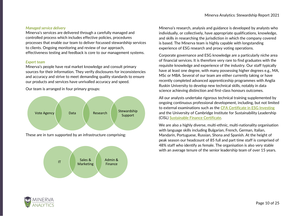#### *Managed service delivery*

Minerva's services are delivered through a carefully managed and controlled process which includes effective policies, procedures processes that enable our team to deliver focussed stewardship services to clients. Ongoing monitoring and review of our approach, effectiveness testing and feedback is core to our management systems.

#### *Expert team*

Minerva's people have real market knowledge and consult primary sources for their information. They verify disclosures for inconsistencies and accuracy and strive to meet demanding quality standards to ensure our products and services have unrivalled accuracy and speed.

Our team is arranged in four primary groups:



These are in turn supported by an infrastructure comprising:



Minerva's research, analysis and guidance is developed by analysts who individually, or collectively, have appropriate qualifications, knowledge, and skills in researching the jurisdiction in which the company covered is based. The Minerva team is highly capable with longstanding experience of ESG research and proxy voting operations.

Corporate governance and ESG knowledge are a particularly niche area of financial services. It is therefore very rare to find graduates with the requisite knowledge and experience of the industry. Our staff typically have at least one degree, with many possessing higher degrees e.g., MA, MSc or MBA. Several of our team are either currently taking or have recently completed advanced apprenticeship programmes with Anglia Ruskin University to develop new technical skills, notably in data science achieving distinction and first-class honours outcomes.

All our analysts undertake rigorous technical training supplemented by ongoing continuous professional development, including, but not limited to external examinations such as the [CFA Certificate in ESG Investing](https://www.cfainstitute.org/programs/esg-investing) and the University of Cambridge Institute for Sustainability Leadership (CISL) [Sustainable Finance Certificate.](https://www.cisl.cam.ac.uk/education/learn-online/sustainable-finance-online)

We are also a highly diverse, multi-ethnic, multi-nationality organisation with language skills including Bulgarian, French, German, Italian, Mandarin, Portuguese, Russian, Shona and Spanish. At the height of peak season our headcount of 85 full and part time staff is comprised of 48% staff who identify as female. The organisation is also very stable with an average tenure of the senior leadership team of over 15 years.

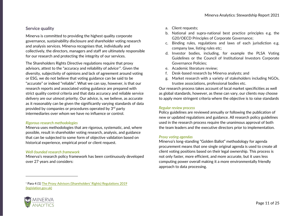### <span id="page-10-0"></span>**Service quality**

Minerva is committed to providing the highest quality corporate governance, sustainability disclosure and shareholder voting research and analysis services. Minerva recognises that, individually and collectively, the directors, managers and staff are ultimately responsible for our research and protecting the integrity of our services.

The Shareholders Rights Directive regulations require that proxy advisors, attest to the "accuracy and reliability of advice<sup>,</sup>". Given the diversity, subjectivity of opinions and lack of agreement around voting or ESG, we do not believe that voting guidance can be said to be "accurate" or indeed "reliable". What we can say, however, is that our research reports and associated voting guidance are prepared with strict quality control criteria and that data accuracy and reliable service delivery are our utmost priority. Our advice, is, we believe, as accurate as it reasonably can be given the significantly varying standards of data provided by companies or procedures operated by 3rd party intermediaries over whom we have no influence or control.

#### *Rigorous research methodologies*

Minerva uses methodologies that are rigorous, systematic, and, where possible, result in shareholder voting research, analysis, and guidance that can be subjected to some form of objective validation based on historical experience, empirical proof or client request.

#### *Well-founded research framework*

Minerva's research policy framework has been continuously developed over 27 years and considers:

- a. Client requests;
- b. National and supra-national best practice principles e.g. the G20/OECD Principles of Corporate Governance;
- c. Binding rules, regulations and laws of each jurisdiction e.g. company law, listing rules etc;
- d. Investor bodies, including, for example the PLSA Voting Guidelines or the Council of Institutional Investors Corporate Governance Policies;
- e. Academic literature review;
- f. Desk-based research by Minerva analysts; and
- g. Market research with a variety of stakeholders including NGOs, trustee associations, professional bodies etc.

Our research process takes account of local market specificities as well as global standards, however, as these can vary, our clients may choose to apply more stringent criteria where the objective is to raise standards

#### *Regular review process*

Policy guidelines are reviewed annually or following the publication of new or updated regulations and guidance. All research policy guidelines used in the research process require the unanimous approval of both the team leaders and the executive directors prior to implementation.

#### *Proxy voting agendas*

Minerva's long-standing "Golden Ballot" methodology for agenda procurement means that one single original agenda is used to create all client voting positions based on their legal ownership. This process is not only faster, more efficient, and more accurate, but it uses less computing power overall making it a more environmentally friendly approach to data processing.

#### <sup>1</sup> Para 4 (1) [The Proxy Advisors \(Shareholders' Rights\) Regulations 2019](https://www.legislation.gov.uk/uksi/2019/926/made)  [\(legislation.gov.uk\)](https://www.legislation.gov.uk/uksi/2019/926/made)

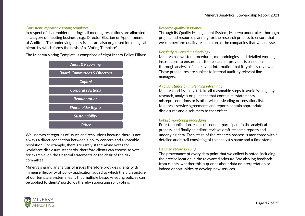#### *Consistent, repeatable voting templates*

In respect of shareholder meetings, all meeting resolutions are allocated a category of meeting business, e.g., Director Election or Appointment of Auditors. The underlying policy issues are also organised into a logical hierarchy which forms the basis of a "Voting Template".

The Minerva Voting Template is comprised of eight Macro Policy Pillars:



We use two categories of issues and resolutions because there is not always a direct connection between a policy concern and a voteable resolution. For example, there are rarely stand-alone votes for workforce disclosure standards, therefore clients can choose to vote, for example, on the financial statements or the chair of the risk committee.

Minerva's granular analysis of issues therefore provides clients with immense flexibility of policy application added to which the architecture of our template system means that multiple bespoke voting policies can be applied to clients' portfolios thereby supporting split voting.

#### *Research quality assurance*

Through its Quality Management System, Minerva undertakes thorough project and resource planning for the research process to ensure that we can perform quality research on all the companies that we analyse.

#### *Regularly reviewed methodology*

Minerva has written procedures, methodologies, and detailed working instructions to ensure that the research it provides is based on a thorough analysis of all relevant information that it typically reviews. These procedures are subject to internal audit by relevant line managers.

#### *A tough stance on misleading information*

Minerva and its analysts take all reasonable steps to avoid issuing any research, analysis or guidance that contain misstatements, misrepresentations or is otherwise misleading or sensationalist. Minerva's service agreements and reports contain appropriate disclosures and disclaimers to that effect.

#### *Robust monitoring procedures*

Prior to publication, each subsequent participant in the analytical process, and finally an editor, reviews draft research reports and underlying data. Each stage of the research process is monitored with a detailed audit trail consisting of the analyst's name and a time stamp.

#### *Detailed record keeping*

The provenance of every data point that we collect is noted, including the precise location in the relevant disclosure. We also log feedback from clients, whether this is queries about data or interpretation or indeed opportunities to develop new services.

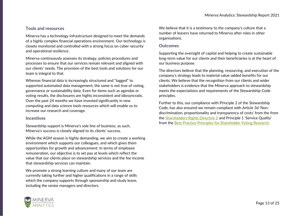#### <span id="page-12-0"></span>**Tools and resources**

Minerva has a technology infrastructure designed to meet the demands of a highly complex financial operations environment. Our technology is closely monitored and controlled with a strong focus on cyber-security and operational resilience.

Minerva continuously assesses its strategy, policies procedures and processes to ensure that our services remain relevant and aligned with our clients' needs. The provision of the best tools and solutions for our team is integral to that.

Whereas financial data is increasingly structured and "tagged" to supported automated data management, the same is not true of voting, governance or sustainability data. Even for items such as agendas or voting results, the disclosures are highly inconsistent and idiosyncratic. Over the past 24 months we have invested significantly in new computing and data science tools resources which will enable us to increase our research and coverage.

#### <span id="page-12-1"></span>**Incentives**

Stewardship support is Minerva's sole line of business; as such, Minerva's success is closely aligned to its clients' success.

While the AGM season is highly demanding, we aim to create a working environment which supports our colleagues, and which gives them opportunities for growth and advancement. In terms of employee remuneration, our objective is to set pay at levels which reflect the value that our clients place on stewardship services and the fee income that stewardship services can maintain.

We promote a strong learning culture and many of our team are currently taking further and higher qualifications in a range of skills which the company supports through sponsorship and study leave, including the senior managers and directors.

We believe that it is a testimony to the company's culture that a number of leavers have returned to Minerva after roles in other organisations.

#### <span id="page-12-2"></span>**Outcomes**

Supporting the oversight of capital and helping to create sustainable long-term value for our clients and their beneficiaries is at the heart of our business purpose.

The directors believe that the planning, resourcing, and execution of the company's strategy leads to material value-added benefits for our clients. We believe that the recognition from our clients and wider stakeholders is evidence that the Minerva approach to stewardship meets the expectations and requirements of the Stewardship Code principles.

Further to this, our compliance with Principle 2 of the Stewardship Code, has also ensured we remain compliant with Article 3d 'Nondiscrimination, proportionality and transparency of costs' from the from the [Shareholders Rights Directive 2](https://eur-lex.europa.eu/legal-content/EN/TXT/PDF/?uri=CELEX:32017L0828&from=EN) and Principle 1 'Service Quality' from the [Best Practice Principles for Shareholder Voting Research.](https://bppgrp.info/wp-content/uploads/2019/07/2019-Best-Practice-Principles-for-Shareholder-Voting-Research-Analysis.pdf)

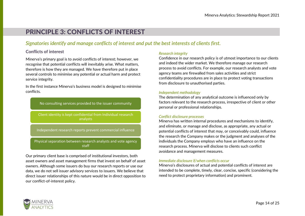# <span id="page-13-0"></span>PRINCIPLE 3: CONFLICTS OF INTEREST

## *Signatories identify and manage conflicts of interest and put the best interests of clients first.*

#### <span id="page-13-1"></span>**Conflicts of interest**

Minerva's primary goal is to avoid conflicts of interest; however, we recognise that potential conflicts will inevitably arise. What matters, therefore is how they are managed. We have therefore put in place several controls to minimise any potential or actual harm and protect service integrity.

In the first instance Minerva's business model is designed to minimise conflicts.

No consulting services provided to the issuer community

Client identity is kept confidential from Individual research analysts

Independent research reports prevent commercial influence

Physical separation between research analysts and vote agency staff

Our primary client base is comprised of institutional investors, both asset owners and asset management firms that invest on behalf of asset owners. Although some issuers do buy our research reports or use our data, we do not sell issuer advisory services to issuers. We believe that direct issuer relationships of this nature would be in direct opposition to our conflict-of-interest policy.

#### *Research integrity*

Confidence in our research policy is of utmost importance to our clients and indeed the wider market. We therefore manage our research process to avoid conflicts. For example, our research analysts and vote agency teams are firewalled from sales activities and strict confidentiality procedures are in place to protect voting transactions from disclosure to unauthorised parties.

#### *Independent methodology*

The determination of any analytical outcome is influenced only by factors relevant to the research process, irrespective of client or other personal or professional relationships.

#### *Conflict disclosure processes*

Minerva has written internal procedures and mechanisms to identify, and eliminate, or manage and disclose, as appropriate, any actual or potential conflicts of interest that may, or conceivably could, influence the research the Company makes or the judgment and analyses of the individuals the Company employs who have an influence on the research process. Minerva will disclose to clients such conflict avoidance and management measures.

#### *Immediate disclosure if/when conflicts occur*

Minerva's disclosures of actual and potential conflicts of interest are intended to be complete, timely, clear, concise, specific (considering the need to protect proprietary information) and prominent.

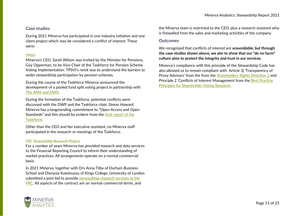#### <span id="page-14-0"></span>**Case studies**

During 2021 Minerva has participated in one industry initiative and one client project which may be considered a conflict of interest. These were:

#### *TPSVI*

Minerva's CEO, Sarah Wilson was invited by the Minister for Pensions, Guy Opperman, to be Vice-Chair of the Taskforce for Pension Scheme Voting Implementation. TPSVI's remit was to understand the barriers to wider stewardship participation by pension schemes.

During the course of the Taskforce Minerva announced the development of a pooled fund split voting project in partnership with [The AMX and DWS.](https://www.manifest.co.uk/minerva-launches-pooled-fund-split-voting-service-voteplus/)

During the formation of the Taskforce, potential conflicts were discussed with the DWP and the Taskforce chair, Simon Howard. Minerva has a longstanding commitment to "Open Access and Open Standards" and this should be evident from the [final report of the](https://www.gov.uk/government/publications/taskforce-on-pension-scheme-voting-implementation-recommendations-to-government-regulators-and-industry/the-report-of-the-taskforce-on-pension-scheme-voting-implementation-recommendations-to-government-regulators-and-industry)  [Taskforce.](https://www.gov.uk/government/publications/taskforce-on-pension-scheme-voting-implementation-recommendations-to-government-regulators-and-industry/the-report-of-the-taskforce-on-pension-scheme-voting-implementation-recommendations-to-government-regulators-and-industry)

Other than the CEO and her executive assistant, no Minerva staff participated in the research or meetings of the Taskforce.

#### *FRC Stewardship Research Project*

For a number of years Minerva has provided research and data services to the Financial Reporting Council to inform their understanding of market practices. All arrangements operate on a normal commercial basis.

In 2021 Minerva, together with Drs Anna Tilba of Durham Business School and Dionysia Katelouzou of Kings College, University of London submitted a joint bid to provide [stewardship research services to the](https://www.contractsfinder.service.gov.uk/Notice/Attachment/bff3c149-1004-4a57-ace3-853b03d93928)  [FRC.](https://www.contractsfinder.service.gov.uk/Notice/Attachment/bff3c149-1004-4a57-ace3-853b03d93928) All aspects of the contract are on normal commercial terms, and

the Minerva team is restricted to the CEO, plus a research assistant who is firewalled from the sales and marketing activities of the company.

#### <span id="page-14-1"></span>**Outcomes**

We recognised that conflicts of interest are **unavoidable, but through the case studies shown above, we aim to show that our "do no harm" culture aims to protect the integrity and trust in our services.**

Minerva's compliance with this principle of the Stewardship Code has also allowed us to remain compliant with Article 3j 'Transparency of Proxy Advisors' from the from the [Shareholders Rights Directive 2](https://eur-lex.europa.eu/legal-content/EN/TXT/PDF/?uri=CELEX:32017L0828&from=EN) and Principle 2 'Conflicts of Interest Management from the [Best Practice](https://bppgrp.info/wp-content/uploads/2019/07/2019-Best-Practice-Principles-for-Shareholder-Voting-Research-Analysis.pdf)  [Principles for Shareholder Voting Research.](https://bppgrp.info/wp-content/uploads/2019/07/2019-Best-Practice-Principles-for-Shareholder-Voting-Research-Analysis.pdf)

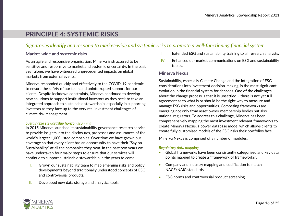# <span id="page-15-0"></span>PRINCIPLE 4: SYSTEMIC RISKS

## *Signatories identify and respond to market-wide and systemic risks to promote a well-functioning financial system.*

#### <span id="page-15-1"></span>**Market-wide and systemic risks**

As an agile and responsive organisation, Minerva is structured to be sensitive and responsive to market and systemic uncertainty. In the past year alone, we have witnessed unprecedented impacts on global markets from external events.

Minerva responded quickly and effectively to the COVID-19 pandemic to ensure the safety of our team and uninterrupted support for our clients. Despite lockdown constraints, Minerva continued to develop new solutions to support institutional investors as they seek to take an integrated approach to sustainable stewardship, especially in supporting investors as they face up to the very real investment challenges of climate risk management.

#### *Sustainable stewardship horizon scanning*

In 2015 Minerva launched its sustainability governance research service to provide insights into the disclosures, processes and assurances of the world's largest 1,000 listed companies. Over time we have grown our coverage so that every client has an opportunity to have their "Say on Sustainability" at all the companies they own. In the past two years we have undertaken four major steps to ensure that our services will continue to support sustainable stewardship in the years to come:

- I. Grown our sustainability team to map emerging risks and policy developments beyond traditionally understood concepts of ESG and controversial products.
- II. Developed new data storage and analytics tools.
- **III.** Extended ESG and sustainability training to all research analysts.
- $IV.$  Enhanced our market communications on ESG and sustainability topics.

#### <span id="page-15-2"></span>**Minerva Nexus**

Sustainability, especially Climate Change and the integration of ESG considerations into investment decision-making, is the most significant evolution in the financial system for decades. One of the challenges about the change process is that it is unsettled – there is not yet full agreement as to what is or should be the right way to measure and manage ESG risks and opportunities. Competing frameworks are emerging not only from asset owner membership bodies but also national regulators. To address this challenge, Minerva has been comprehensively mapping the most investment relevant frameworks to create Minerva Nexus, a power database model which allows clients to create fully customised models of the ESG risks their portfolios face.

Minerva Nexus is comprised of a number of modules:

#### *Regulatory data mapping*

- Global frameworks have been consistently categorised and key data points mapped to create a "framework of frameworks".
- Company and industry mapping and codification to match NACE/NAIC standards.
- ESG norms and controversial product screening.

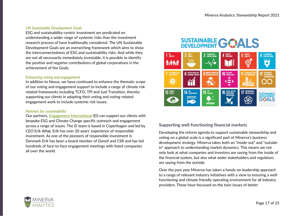#### *UN Sustainable Development Goals*

ESG and sustainability-centric investment are predicated on understanding a wider range of systemic risks than the investment research process of have traditionally considered. The UN Sustainable Development Goals are an overarching framework which aims to show the interconnectedness of ESG and sustainability risks. And while they are not all necessarily immediately investable, it is possible to identify the positive and negative contributions of global corporations in the achievement of the Goals.

#### *Enhancing voting and engagement*

In addition to Nexus, we have continued to enhance the thematic scope of our voting and engagement support to include a range of climate risk related frameworks including TCFD, TPI and Just Transition, thereby supporting our clients in adapting their voting and voting-related engagement work to include systemic risk issues.

#### *Partners for sustainability*

Our partners, [Engagement International](https://engage-int.com/) (EI) can support our clients with bespoke ESG and Climate Change specific outreach and engagement across a range of issues. The EI team is based in Copenhagen and led by CEO Erik Alhøj. Erik has over 20 years' experience of responsible investment. As one of the pioneers of responsible investment in Denmark Erik has been a board member of Dansif and CSR and has led hundreds of face-to-face engagement meetings with listed companies all over the world.

# SUSTAINABLE GOALS



### <span id="page-16-0"></span>**Supporting well-functioning financial markets**

Developing the reform agenda to support sustainable stewardship and voting on a global scale is a significant part of Minerva's business development strategy. Minerva takes both an "inside-out" and "outsidein" approach to understanding market dynamics. This means we not only look at what companies and investors are saying from the inside of the financial system, but also what wider stakeholders and regulators are saying from the outside.

Over the past year Minerva has taken a hands-on leadership approach to a range of relevant industry initiatives with a view to ensuring a wellfunctioning and climate friendly operating environment for all industry providers. These have focussed on the twin issues of better

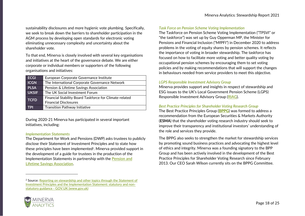sustainability disclosures and more hygienic vote plumbing. Specifically, we seek to break down the barriers to shareholder participation in the AGM process by developing open standards for electronic voting eliminating unnecessary complexity and uncertainty about the shareholder vote.

To that end, Minerva is closely involved with several key organisations and initiatives at the heart of the governance debate. We are either corporate or individual members or supporters of the following organisations and initiatives:

| <b>ECGI</b>  | European Corporate Governance Institute                 |  |  |  |
|--------------|---------------------------------------------------------|--|--|--|
| <b>ICGN</b>  | The International Corporate Governance Network          |  |  |  |
| <b>PLSA</b>  | Pension & Lifetime Savings Association                  |  |  |  |
| <b>UKSIF</b> | The UK Social Investment Forum                          |  |  |  |
| <b>TCFD</b>  | Financial Stability Board Taskforce for Climate-related |  |  |  |
|              | <b>Financial Disclosures</b>                            |  |  |  |
| <b>TPI</b>   | <b>Transition Pathway Initiative</b>                    |  |  |  |

During 2020-21 Minerva has participated in several important initiatives, including:

#### *Implementation Statements*

The Department for Work and Pensions (DWP) asks trustees to publicly disclose their Statement of Investment Principles and to state how these principles have been implemented<sup>2</sup>. Minerva provided support in the development of a guide for trustees in the production of the Implementation Statements in partnership with the [Pension and](https://www.plsa.co.uk/Policy-and-Research/Document-library/Implementation-Statement-guidance-for-trustees)  [Lifetime Savings Association.](https://www.plsa.co.uk/Policy-and-Research/Document-library/Implementation-Statement-guidance-for-trustees)

#### *Task Force on Pension Scheme Voting Implementation*

The Taskforce on Pension Scheme Voting Implementation ("TPSVI" or "the taskforce") was set up by Guy Opperman MP, the Minister for Pensions and Financial Inclusion ("MfPFI") in December 2020 to address problems in the voting of equity shares by pension schemes. It reflects the importance of voting in broader stewardship. The taskforce has focused on how to facilitate more voting and better quality voting by occupational pension schemes by encouraging them to set voting policies and by making recommendations that will support the changes in behaviours needed from service providers to meet this objective.

#### *LGPS Responsible Investment Advisory Group*

Minerva provides support and insights in respect of stewardship and ESG issues to the UK's Local Government Pension Scheme (LGPS) Responsible Investment Advisory Group [\(RIAG\)](https://lgpsboard.org/index.php/projects/responsible-investment).

#### *Best Practice Principles for Shareholder Voting Research Group*

The Best Practice Principles Group (**[BPPG](https://bppgrp.info/)**) was formed to address a recommendation from the European Securities & Markets Authority (**ESMA**) that the shareholder voting research industry should seek to improve their transparency and institutional investors' understanding of the role and services they provide.

The BPPG also seeks to strengthen the market for stewardship services by promoting sound business practices and advocating the highest level of ethics and integrity. Minerva was a founding signatory to the BPP Group and has been actively involved in the development of the [Best](http://bppgrp.info/)  [Practice Principles for Shareholder Voting Research](http://bppgrp.info/) since February 2013. Our CEO Sarah Wilson currently sits on the BPPG Committee.



<sup>&</sup>lt;sup>2</sup> Source: Reporting on stewardship and other topics through the Statement of Investment Principles and the Implementation Statement: statutory and nonstatutory guidance - GOV.UK (www.gov.uk)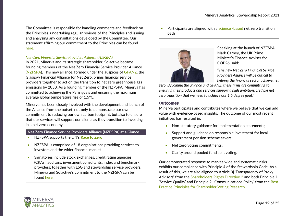The Committee is responsible for handling comments and feedback on the Principles, undertaking regular reviews of the Principles and issuing and analysing any consultations developed by the Committee. Our statement affirming our commitment to the Principles can be found [here.](https://www.manifest.co.uk/wp-content/uploads/2021/01/2020-Minerva-BPPG-statement.pdf)

#### *Net-Zero Financial Service Providers Alliance (NZFSPA)*

In 2021, Minerva and its strategic shareholder, Solactive became founding members of the Net Zero Financial Service Provider Alliance [\(NZFSPA\)](https://www.netzeroserviceproviders.com/). This new alliance, formed under the auspices of [GFANZ,](https://www.gfanzero.com/) the Glasgow Financial Alliance for Net Zero, brings financial service providers together to act on the transition to net zero greenhouse gas emissions by 2050. As a founding member of the NZPSPA, Minerva has committed to achieving the Paris goals and ensuring the maximum average global temperature rise of 1.5°C.

Minerva has been closely involved with the development and launch of the Alliance from the outset, not only to demonstrate our own commitment to reducing our own carbon footprint, but also to ensure that our services will support our clients as they transition to investing in a net zero economy.

#### **Net Zero Finance Service Providers Alliance (NZFSPA) at a Glance**

- NZFSPA supports the UN's **[Race to Zero](https://racetozero.unfccc.int/)**
- NZFSPA is comprised of 18 organisations providing services to investors and the wider financial market
- Signatories include stock exchanges, credit rating agencies (CRAs); auditors; investment consultants; index and benchmark providers; together with ESG and stewardship service providers. Minerva and Solactive's commitment to the NZFSPA can be found [here.](https://www.netzeroserviceproviders.com/our-commitment/)

• Participants are aligned with a [science -based](https://sciencebasedtargets.org/) net zero transition path



Speaking at the launch of NZFSPA, Mark Carney, the UK Prime Minister's Finance Adviser for COP26, said:

"*The new Net Zero Financial Service Providers Alliance will be critical to helping the financial sector achieve net* 

*zero. By joining the alliance and GFANZ, these firms are committing to ensuring their products and services support a high ambition, credible net zero transition that we need to achieve our 1.5 degree goa*l."

#### Outcomes

Minerva participates and contributes where we believe that we can add value with evidence-based insights. The outcome of our most recent initiatives has resulted in:

- Non-statutory guidance for implementation statements;
- Support and guidance on responsible investment for local government pension scheme savers;
- Net zero voting commitments:
- Clarity around pooled fund split voting.

Our demonstrated response to market-wide and systematic risks exhibits our compliance with Principle 4 of the Stewardship Code. As a result of this, we are also aligned to Article 3j 'Transparency of Proxy Advisors' from the [Shareholders Rights Directive 2](https://eur-lex.europa.eu/legal-content/EN/TXT/PDF/?uri=CELEX:32017L0828&from=EN) and both Principle 1 'Service Quality' and Principle 2 ' Communications Policy' from the [Best](https://bppgrp.info/wp-content/uploads/2019/07/2019-Best-Practice-Principles-for-Shareholder-Voting-Research-Analysis.pdf)  [Practice Principles for Shareholder Voting Research.](https://bppgrp.info/wp-content/uploads/2019/07/2019-Best-Practice-Principles-for-Shareholder-Voting-Research-Analysis.pdf)

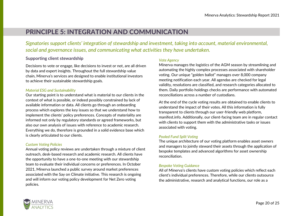# <span id="page-19-0"></span>PRINCIPLE 5: INTEGRATION AND COMMUNICATION

*Signatories support clients' integration of stewardship and investment, taking into account, material environmental, social and governance issues, and communicating what activities they have undertaken.*

#### <span id="page-19-1"></span>**Supporting client stewardship**

Decisions to vote or engage, like decisions to invest or not, are all driven by data and expert insights. Throughout the full stewardship value chain, Minerva's services are designed to enable institutional investors to achieve their sustainable stewardship goals.

#### *Material ESG and Sustainability*

Our starting point is to understand what is material to our clients in the context of what is possible, or indeed possibly constrained by lack of available information or data. All clients go through an onboarding process which explores the key issues so that we understand how to implement the clients' policy preferences. Concepts of materiality are informed not only by regulatory standards or agreed frameworks, but also our own analysis of issues with reference to academic research. Everything we do, therefore is grounded in a solid evidence base which is clearly articulated to our clients.

#### *Custom Voting Policies*

Annual voting policy reviews are undertaken through a mixture of client outreach, desk-based research and academic research. All clients have the opportunity to have a one-to-one meeting with our stewardship team to evaluate their individual concerns or preferences. In October 2021, Minerva launched a public survey around market preferences associated with the Say on Climate initiative. This research is ongoing and will inform our voting policy development for Net Zero voting policies.

#### *Vote Agency*

Minerva manages the logistics of the AGM season by streamlining and automating the highly complex processes associated with shareholder voting. Our unique "golden ballot" manages over 8,000 company meeting notification each year. All agendas are checked for legal validity, resolutions are classified, and research categories allocated to them. Daily portfolio holdings checks are performance with automated reconciliations across a number of custodians.

At the end of the cycle voting results are obtained to enable clients to understand the impact of their votes. All this information is fully transparent to clients through our user-friendly web platform, manifest.info. Additionally, our client-facing team are in regular contact with clients to support them with the administrative tasks or issues associated with voting.

#### *Pooled Fund Split Voting*

The unique architecture of our voting platform enables asset owners and managers to jointly steward their assets through the application of bespoke templates and advanced algorithms for asset ownership reconciliation.

#### *Bespoke Voting Guidance*

All of Minerva's clients have custom voting policies which reflect each client's individual preferences. Therefore, while our clients outsource the administrative, research and analytical functions, our role as a

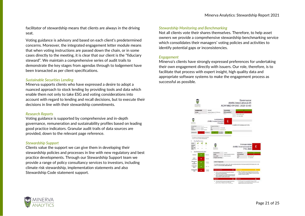facilitator of stewardship means that clients are always in the driving seat.

Voting guidance is advisory and based on each client's predetermined concerns. Moreover, the integrated engagement letter module means that when voting instructions are passed down the chain, or in some cases directly to the meeting, it is clear that our client is the "fiduciary steward". We maintain a comprehensive series of audit trails to demonstrate the key stages from agendas through to lodgement have been transacted as per client specifications.

#### *Sustainable Securities Lending*

Minerva supports clients who have expressed a desire to adopt a nuanced approach to stock lending by providing tools and data which enable them not only to take ESG and voting considerations into account with regard to lending and recall decisions, but to execute their decisions in line with their stewardship commitments.

#### *Research Reports*

Voting guidance is supported by comprehensive and in-depth governance, remuneration and sustainability profiles based on leading good practice indicators. Granular audit trails of data sources are provided, down to the relevant page reference.

#### *Stewardship Support*

Clients value the support we can give them in developing their stewardship policies and processes in line with new regulatory and best practice developments. Through our Stewardship Support team we provide a range of policy consultancy services to investors, including climate risk stewardship, implementation statements and also Stewardship Code statement support.

#### *Stewardship Monitoring and Benchmarking*

Not all clients vote their shares themselves. Therefore, to help asset owners we provide a comprehensive stewardship benchmarking service which consolidates their managers' voting policies and activities to identify potential gaps or inconsistencies.

#### *Engagement*

Minerva's clients have strongly expressed preferences for undertaking their own engagement directly with issuers. Our role, therefore, is to facilitate that process with expert insight, high quality data and appropriate software systems to make the engagement process as successful as possible.



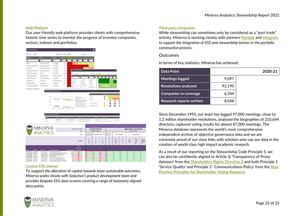#### *Web Platform*

Our user-friendly web platform provides clients with comprehensive historic time series to monitor the progress of investee companies, sectors, indexes and portfolios.

| <b>Say on Pay Grades</b>         |                                                    |                                                                                    |                       |         |                                                                                                                                                                                                                                                      |                                                                         |                                   | $\bullet$                                                                              |                               |                                          |                                    |                      |                             |                          |
|----------------------------------|----------------------------------------------------|------------------------------------------------------------------------------------|-----------------------|---------|------------------------------------------------------------------------------------------------------------------------------------------------------------------------------------------------------------------------------------------------------|-------------------------------------------------------------------------|-----------------------------------|----------------------------------------------------------------------------------------|-------------------------------|------------------------------------------|------------------------------------|----------------------|-----------------------------|--------------------------|
| Ston is netrits                  |                                                    |                                                                                    | Ritmentse CRU         | 2001    |                                                                                                                                                                                                                                                      | Search/                                                                 |                                   |                                                                                        |                               |                                          |                                    |                      |                             |                          |
| Полокее                          | : Sector                                           | $z$ whitting                                                                       | ± themy e             |         | 3010 =                                                                                                                                                                                                                                               | $3015 - 2036 - 2011$                                                    |                                   | в                                                                                      |                               |                                          |                                    |                      |                             |                          |
| ntir                             | Fitz                                               | Fifter:                                                                            | mm.                   |         | if n                                                                                                                                                                                                                                                 | 79 to                                                                   | Hat                               |                                                                                        |                               |                                          |                                    |                      |                             |                          |
| AEE Ltd                          | <b>Decronic Failowert</b>                          | $1 - 10,000$                                                                       | Di                    |         | ż                                                                                                                                                                                                                                                    | $\bullet$                                                               |                                   |                                                                                        |                               |                                          |                                    |                      |                             |                          |
| Aberfalahuestructures SA         | Transportation Services                            | $1 - 10.003m$                                                                      | 古                     |         |                                                                                                                                                                                                                                                      |                                                                         | ċ                                 |                                                                                        |                               |                                          |                                    |                      |                             |                          |
| Arramarquie                      | Basiness Support Sorvices                          | $2 \times 10000m$                                                                  | x                     |         |                                                                                                                                                                                                                                                      | $\mathbf{u}$                                                            |                                   |                                                                                        |                               |                                          |                                    |                      |                             |                          |
| Ale Products & Cheerican Inc.    | Cannocky Contrast.                                 | $2 \times 10,0000$                                                                 | w                     |         | Say of Statements Code                                                                                                                                                                                                                               |                                                                         |                                   |                                                                                        |                               |                                          | $\bullet$                          |                      |                             |                          |
| Amener Busitristes SA            | Biegers.                                           | $2 - 10,000$ m                                                                     | $_{0}$                |         | Tel: it views                                                                                                                                                                                                                                        |                                                                         |                                   | Electri OV. Ave.                                                                       |                               | Seri                                     |                                    |                      |                             |                          |
| Arta Sports Arpoucts Ltd.        | Specialty Retailers                                | 2.3001v-10.000v                                                                    | $\overline{K}$        |         | <b>TAY</b><br><b>COMM</b>                                                                                                                                                                                                                            |                                                                         |                                   | $+1$ matrix $+1$                                                                       |                               | $-1$ and $-1$ and $-1$ and $-1$ and $-1$ |                                    |                      |                             |                          |
| 3FHgliz/WaarskXS                 | Marine Transportation                              | $2 - 100000$                                                                       | DK                    |         |                                                                                                                                                                                                                                                      |                                                                         |                                   |                                                                                        |                               |                                          |                                    |                      |                             |                          |
| ARA Group Ltd.                   | MONTHS                                             | 2.320 (y) 00,000 (i)                                                               | 125                   |         | and favor<br>indi kilikulasi                                                                                                                                                                                                                         | ikes Crotheter<br><b>Greenfield</b>                                     | 3115 m 210 M<br>tritida           | 10<br>$\overline{a}$                                                                   |                               |                                          |                                    |                      |                             |                          |
| Applied Materials bic            | Semiconductors                                     | $5 - 10,000 =$                                                                     | 话                     |         | or trivia                                                                                                                                                                                                                                            | Garathing                                                               | kitatte                           | $\overline{1}$                                                                         |                               |                                          |                                    |                      |                             |                          |
| Assiguration: General SpA        | Full Une Louismon                                  | $2 - 10000$ m                                                                      | 直                     |         | Address:<br><b>ALL LA</b>                                                                                                                                                                                                                            | <b>Demokratisissen</b><br>Respublikation                                | <b>Exitative</b><br>$1 - 10.99 -$ | $\overline{1}$<br>16                                                                   | п<br>٠<br>$\overline{1}$<br>× | ٠<br>۰.<br><b>ELK </b><br>$\mathbb{E}$   | ٠<br>- 11                          |                      |                             |                          |
|                                  |                                                    |                                                                                    |                       |         | <b>Service</b><br>-                                                                                                                                                                                                                                  |                                                                         | Stille dille                      | ۰                                                                                      |                               | ÷                                        | ×                                  |                      |                             |                          |
| Showles 2 to 50 al 2/224 entries |                                                    | <b>Bation Duta/Sustainability Grades</b>                                           |                       |         |                                                                                                                                                                                                                                                      |                                                                         |                                   |                                                                                        |                               |                                          |                                    |                      |                             |                          |
|                                  | 0000<br>\$1,000<br>×<br>fore:<br>first)<br>MINERVA | 2011 Jan<br>28% Av<br>C 000 Errichert: At Diodesed<br>m<br>protective<br>czosmanye | 33171<br>$^{16}$<br>÷ | 2020144 | - ENRISCONDIARIOSTIC<br>trestrongistrici.<br>· LOCOMOTIVE TOX<br>Continuations for the<br><b>MICOLARIZATION</b><br>$-$ YA STRIGGERMEN<br>Interian<br><b>TREP</b><br><b>NORTHWAY POWER</b><br>Initiated laggest farrows<br><b>Minerca Neus: Thema</b> | Policiana Russia Sport States<br><b>Trafazoine Banner Supert Sevien</b> | us                                | THEIR PECCERNI<br>SEERIMENTRIOITI<br>m<br>4 Milestown<br>4.303 x 1.020 x<br>Governance | TODAY                         | ٥<br>٥<br>Ō<br>Textbreak DSA Henric      | o<br>٥<br>٥<br>¥<br>41399  (4)     | e<br>€<br>Ć          | <b>Business Cond</b>        |                          |
|                                  |                                                    |                                                                                    |                       |         | <b>ICCum</b>                                                                                                                                                                                                                                         |                                                                         |                                   | Movrra Katogs                                                                          |                               |                                          |                                    |                      |                             | <b>ESG &amp; Climate</b> |
|                                  | ANALYTICS                                          |                                                                                    |                       |         | File                                                                                                                                                                                                                                                 |                                                                         | Contones<br>Covernarios           |                                                                                        | Sunsimibility Say On Pay      | <b>Intervie</b><br>Corruption            |                                    | Envital Damage       |                             | Human Right              |
|                                  |                                                    |                                                                                    |                       |         | Sub-hilar                                                                                                                                                                                                                                            |                                                                         | <b>KE</b><br>Rating               | ü<br>Autrice                                                                           | s.<br>P.<br>Ħ                 | uiris<br>ŝ<br>Gress                      | $\overline{B}$<br>š<br>ã<br>ă<br>ž | $\overline{a}$<br>šk | <b>Serkius</b><br>Violaborn | Human Rights             |
|                                  |                                                    |                                                                                    |                       |         | Pass:<br>Minerva                                                                                                                                                                                                                                     |                                                                         |                                   |                                                                                        |                               |                                          |                                    |                      |                             |                          |

#### *Custom ESG indexes*

esoopppaks Mauntas<br>esoopppaks Musika

**199 H ROURS CRIMINAL CHARGE SHEET**<br>253 H ROURS PING AN INSURANCE GROUP CO-H<br>385 H ROURS HONG KOYG DONANGES & O.FARIN

To support *the allocation of capital towards more sustainable outcomes, Minerva works closely with Solactive's product development team and provides bespoke ESG data screens covering a range of taxonomy aligned data points.*

#### *Third-party integration*

While stewardship can sometimes only be considered as a "post trade" activity, Minerva is working closely with partners [Ryedale](https://www.ryedale.com/) and [Integrum](http://www.integrumesg.com/) *to support the integration of ESG and stewardship factors in the portfolio construction process.*

#### <span id="page-21-0"></span>**Outcomes**

edigement<br>Recalls

In terms of key statistics, Minerva has achieved:

| <b>Data Point</b>               |        | 2020-21 |
|---------------------------------|--------|---------|
| Meetings logged                 | 9.097  |         |
| <b>Resolutions analysed</b>     | 92,190 |         |
| <b>Companies in coverage</b>    | 6,344  |         |
| <b>Research reports written</b> | 8.048  |         |

Since December 1995, our team has logged 97,000 meetings, close to 1.2 million shareholder resolutions, analysed the biographies of 210,644 directors, captured voting results for almost 87,000 meetings. The Minerva database represents the world's most comprehensive independent archive of objective governance data and we are extremely proud of our close links with scholars who use our data in the creation of world-class high impact academic research.

As a result of our reporting on the Stewardship Code Principle 5, we can also be confidently aligned to Article 3j 'Transparency of Proxy Advisors' from the [Shareholders Rights Directive 2](https://eur-lex.europa.eu/legal-content/EN/TXT/PDF/?uri=CELEX:32017L0828&from=EN) and both Principle 1 'Service Quality' and Principle 2 ' Communications Policy' from the [Best](https://bppgrp.info/wp-content/uploads/2019/07/2019-Best-Practice-Principles-for-Shareholder-Voting-Research-Analysis.pdf)  [Practice Principles for Shareholder Voting Research.](https://bppgrp.info/wp-content/uploads/2019/07/2019-Best-Practice-Principles-for-Shareholder-Voting-Research-Analysis.pdf)

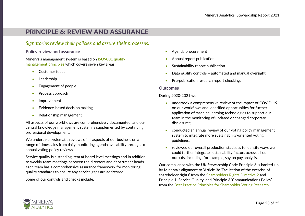# <span id="page-22-0"></span>PRINCIPLE 6: REVIEW AND ASSURANCE

### *Signatories review their policies and assure their processes.*

#### <span id="page-22-1"></span>**Policy review and assurance**

Minerva's management system is based on ISO9001 quality [management principles](https://www.iso.org/iso-9001-quality-management.html) which covers seven key areas:

- Customer focus
- **Leadership**
- Engagement of people
- Process approach
- Improvement
- Evidence-based decision making
- Relationship management

All aspects of our workflows are comprehensively documented, and our central knowledge management system is supplemented by continuing professional development.

We undertake systematic reviews of all aspects of our business on a range of timescales from daily monitoring agenda availability through to annual voting policy reviews.

Service quality is a standing item at board level meetings and in addition to weekly team meetings between the directors and department heads, each team has a comprehensive assurance framework for monitoring quality standards to ensure any service gaps are addressed.

Some of our controls and checks include:

- Agenda procurement
- Annual report publication
- Sustainability report publication
- Data quality controls automated and manual oversight
- Pre-publication research report checking.

#### <span id="page-22-2"></span>**Outcomes**

During 2020-2021 we:

- undertook a comprehensive review of the impact of COVID-19 on our workflows and identified opportunities for further application of machine learning technologies to support our team in the monitoring of updated or changed corporate disclosures;
- conducted an annual review of our voting policy management system to integrate more sustainability-oriented voting guidelines;
- reviewed our overall production statistics to identify ways we could further integrate sustainability factors across all our outputs, including, for example, say on pay analysis.

Our compliance with the UK Stewardship Code Principle 6 is backed-up by Minerva's alignment to 'Article 3c 'Facilitation of the exercise of shareholder rights' from the **[Shareholders Rights Directive 2](https://eur-lex.europa.eu/legal-content/EN/TXT/PDF/?uri=CELEX:32017L0828&from=EN)** and Principle 1 'Service Quality' and Principle 3 'Communications Policy' from the [Best Practice Principles for Shareholder Voting Research.](https://bppgrp.info/wp-content/uploads/2019/07/2019-Best-Practice-Principles-for-Shareholder-Voting-Research-Analysis.pdf)

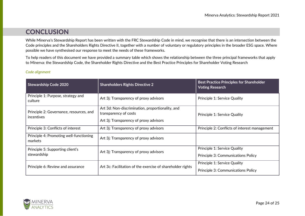# **CONCLUSION**

<span id="page-23-0"></span>While Minerva's Stewardship Report has been written with the FRC Stewardship Code in mind, we recognise that there is an intersection between the Code principles and the Shareholders Rights Directive II, together with a number of voluntary or regulatory principles in the broader ESG space. Where possible we have synthesised our response to meet the needs of these frameworks.

To help readers of this document we have provided a summary table which shows the relationship between the three principal frameworks that apply to Minerva: the Stewardship Code, the Shareholder Rights Directive and the Best Practice Principles for Shareholder Voting Research

#### *Code alignment*

| <b>Stewardship Code 2020</b>                          | <b>Shareholders Rights Directive 2</b>                                                                              | <b>Best Practice Principles for Shareholder</b><br><b>Voting Research</b> |
|-------------------------------------------------------|---------------------------------------------------------------------------------------------------------------------|---------------------------------------------------------------------------|
| Principle 1: Purpose, strategy and<br>culture         | Art 3j: Transparency of proxy advisors                                                                              | Principle 1: Service Quality                                              |
| Principle 2: Governance, resources, and<br>incentives | Art 3d: Non-discrimination, proportionality, and<br>transparency of costs<br>Art 3j: Transparency of proxy advisors | Principle 1: Service Quality                                              |
| Principle 3: Conflicts of interest                    | Art 3j: Transparency of proxy advisors                                                                              | Principle 2: Conflicts of interest management                             |
| Principle 4: Promoting well-functioning<br>markets    | Art 3j: Transparency of proxy advisors                                                                              |                                                                           |
| Principle 5: Supporting client's<br>stewardship       | Art 3j: Transparency of proxy advisors                                                                              | Principle 1: Service Quality<br>Principle 3: Communications Policy        |
| Principle 6: Review and assurance                     | Art 3c: Facilitation of the exercise of shareholder rights                                                          | Principle 1: Service Quality<br>Principle 3: Communications Policy        |